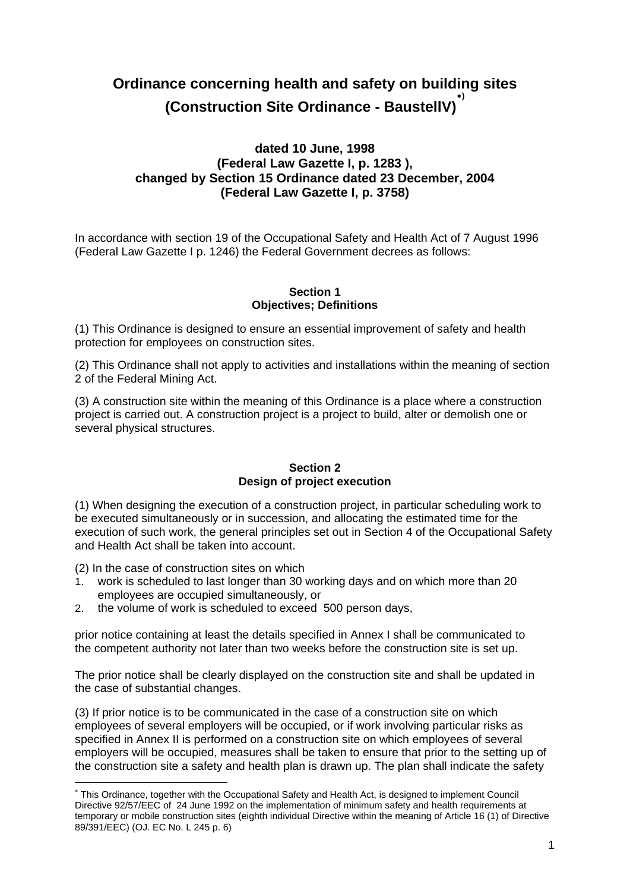# **Ordinance concerning health and safety on building sites (Construction Site Ordinance - BaustellV))**

# **dated 10 June, 1998 (Federal Law Gazette I, p. 1283 ), changed by Section 15 Ordinance dated 23 December, 2004 (Federal Law Gazette I, p. 3758)**

In accordance with section 19 of the Occupational Safety and Health Act of 7 August 1996 (Federal Law Gazette I p. 1246) the Federal Government decrees as follows:

#### **Section 1 Objectives; Definitions**

(1) This Ordinance is designed to ensure an essential improvement of safety and health protection for employees on construction sites.

(2) This Ordinance shall not apply to activities and installations within the meaning of section 2 of the Federal Mining Act.

(3) A construction site within the meaning of this Ordinance is a place where a construction project is carried out. A construction project is a project to build, alter or demolish one or several physical structures.

## **Section 2 Design of project execution**

(1) When designing the execution of a construction project, in particular scheduling work to be executed simultaneously or in succession, and allocating the estimated time for the execution of such work, the general principles set out in Section 4 of the Occupational Safety and Health Act shall be taken into account.

(2) In the case of construction sites on which

1

- 1. work is scheduled to last longer than 30 working days and on which more than 20 employees are occupied simultaneously, or
- 2. the volume of work is scheduled to exceed 500 person days,

prior notice containing at least the details specified in Annex I shall be communicated to the competent authority not later than two weeks before the construction site is set up.

The prior notice shall be clearly displayed on the construction site and shall be updated in the case of substantial changes.

(3) If prior notice is to be communicated in the case of a construction site on which employees of several employers will be occupied, or if work involving particular risks as specified in Annex II is performed on a construction site on which employees of several employers will be occupied, measures shall be taken to ensure that prior to the setting up of the construction site a safety and health plan is drawn up. The plan shall indicate the safety

<span id="page-0-0"></span> This Ordinance, together with the Occupational Safety and Health Act, is designed to implement Council Directive 92/57/EEC of 24 June 1992 on the implementation of minimum safety and health requirements at temporary or mobile construction sites (eighth individual Directive within the meaning of Article 16 (1) of Directive 89/391/EEC) (OJ. EC No. L 245 p. 6)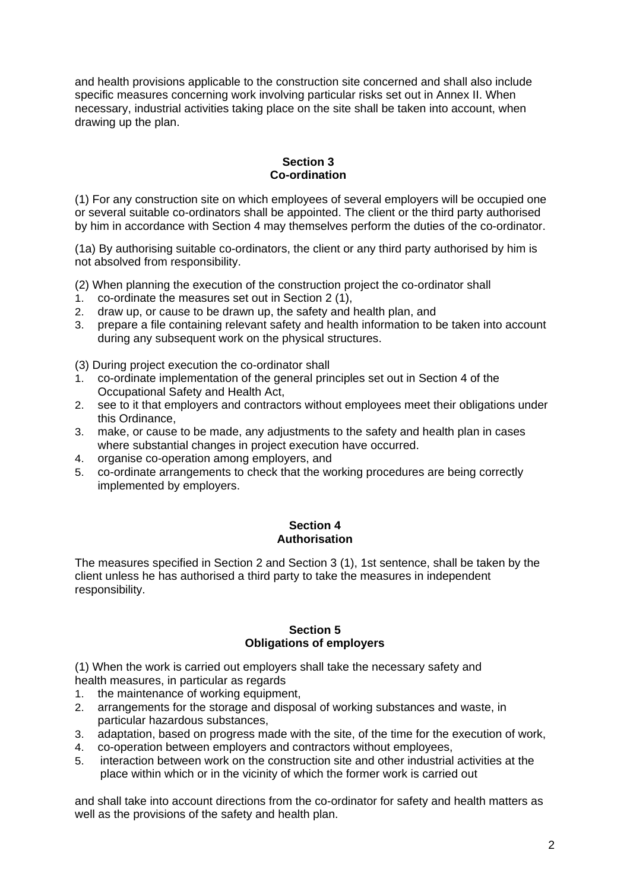and health provisions applicable to the construction site concerned and shall also include specific measures concerning work involving particular risks set out in Annex II. When necessary, industrial activities taking place on the site shall be taken into account, when drawing up the plan.

## **Section 3 Co-ordination**

(1) For any construction site on which employees of several employers will be occupied one or several suitable co-ordinators shall be appointed. The client or the third party authorised by him in accordance with Section 4 may themselves perform the duties of the co-ordinator.

(1a) By authorising suitable co-ordinators, the client or any third party authorised by him is not absolved from responsibility.

- (2) When planning the execution of the construction project the co-ordinator shall
- 1. co-ordinate the measures set out in Section 2 (1),
- 2. draw up, or cause to be drawn up, the safety and health plan, and
- 3. prepare a file containing relevant safety and health information to be taken into account during any subsequent work on the physical structures.

(3) During project execution the co-ordinator shall

- 1. co-ordinate implementation of the general principles set out in Section 4 of the Occupational Safety and Health Act,
- 2. see to it that employers and contractors without employees meet their obligations under this Ordinance,
- 3. make, or cause to be made, any adjustments to the safety and health plan in cases where substantial changes in project execution have occurred.
- 4. organise co-operation among employers, and
- 5. co-ordinate arrangements to check that the working procedures are being correctly implemented by employers.

#### **Section 4 Authorisation**

The measures specified in Section 2 and Section 3 (1), 1st sentence, shall be taken by the client unless he has authorised a third party to take the measures in independent responsibility.

#### **Section 5 Obligations of employers**

(1) When the work is carried out employers shall take the necessary safety and health measures, in particular as regards

- 1. the maintenance of working equipment,
- 2. arrangements for the storage and disposal of working substances and waste, in particular hazardous substances,
- 3. adaptation, based on progress made with the site, of the time for the execution of work,
- 4. co-operation between employers and contractors without employees,
- 5. interaction between work on the construction site and other industrial activities at the place within which or in the vicinity of which the former work is carried out

and shall take into account directions from the co-ordinator for safety and health matters as well as the provisions of the safety and health plan.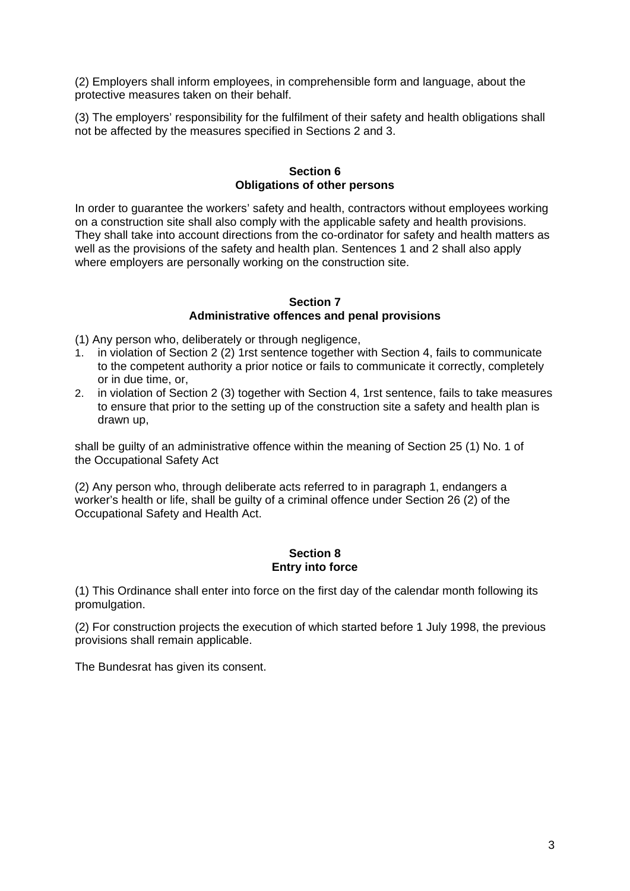(2) Employers shall inform employees, in comprehensible form and language, about the protective measures taken on their behalf.

(3) The employers' responsibility for the fulfilment of their safety and health obligations shall not be affected by the measures specified in Sections 2 and 3.

### **Section 6 Obligations of other persons**

In order to guarantee the workers' safety and health, contractors without employees working on a construction site shall also comply with the applicable safety and health provisions. They shall take into account directions from the co-ordinator for safety and health matters as well as the provisions of the safety and health plan. Sentences 1 and 2 shall also apply where employers are personally working on the construction site.

#### **Section 7 Administrative offences and penal provisions**

(1) Any person who, deliberately or through negligence,

- 1. in violation of Section 2 (2) 1rst sentence together with Section 4, fails to communicate to the competent authority a prior notice or fails to communicate it correctly, completely or in due time, or,
- 2. in violation of Section 2 (3) together with Section 4, 1rst sentence, fails to take measures to ensure that prior to the setting up of the construction site a safety and health plan is drawn up,

shall be guilty of an administrative offence within the meaning of Section 25 (1) No. 1 of the Occupational Safety Act

(2) Any person who, through deliberate acts referred to in paragraph 1, endangers a worker's health or life, shall be guilty of a criminal offence under Section 26 (2) of the Occupational Safety and Health Act.

#### **Section 8 Entry into force**

(1) This Ordinance shall enter into force on the first day of the calendar month following its promulgation.

(2) For construction projects the execution of which started before 1 July 1998, the previous provisions shall remain applicable.

The Bundesrat has given its consent.